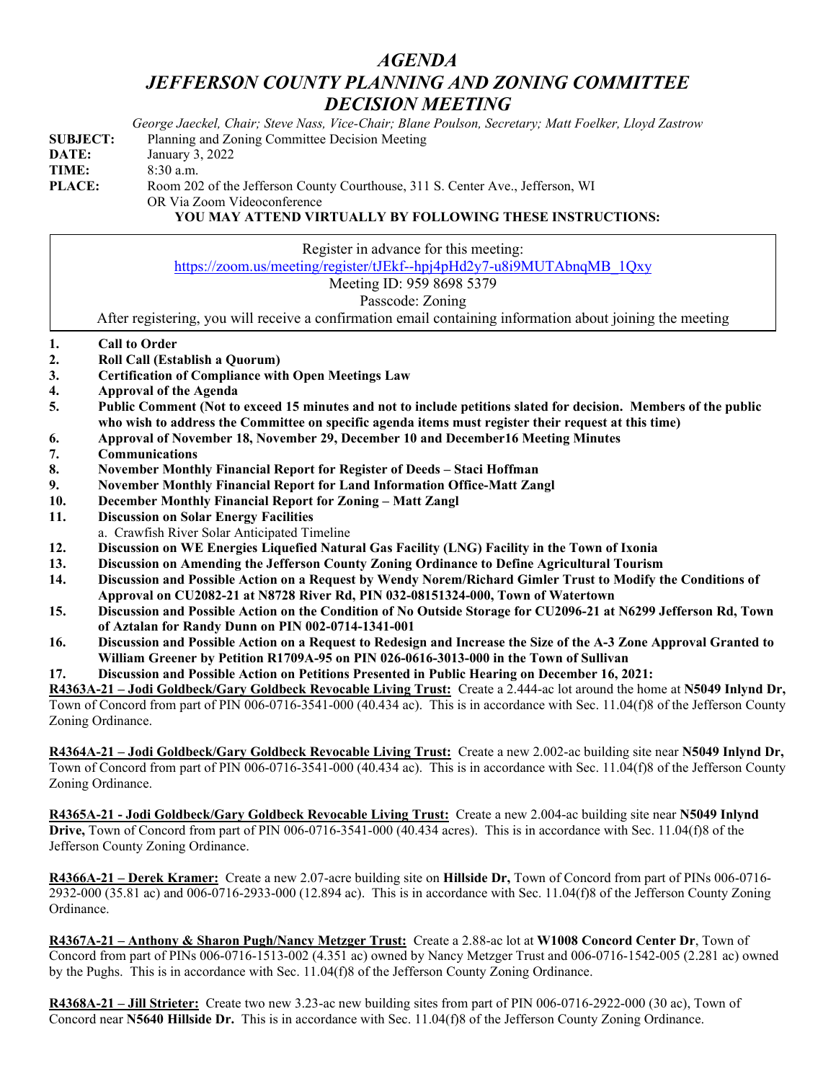## *AGENDA JEFFERSON COUNTY PLANNING AND ZONING COMMITTEE DECISION MEETING*

|                 | George Jaeckel, Chair; Steve Nass, Vice-Chair; Blane Poulson, Secretary; Matt Foelker, Lloyd Zastrow          |
|-----------------|---------------------------------------------------------------------------------------------------------------|
| <b>SUBJECT:</b> | Planning and Zoning Committee Decision Meeting                                                                |
| DATE:           | January 3, 2022                                                                                               |
| TIME:           | $8:30$ a.m.                                                                                                   |
| <b>PLACE:</b>   | Room 202 of the Jefferson County Courthouse, 311 S. Center Ave., Jefferson, WI<br>OR Via Zoom Videoconference |

**YOU MAY ATTEND VIRTUALLY BY FOLLOWING THESE INSTRUCTIONS:**

|    | Register in advance for this meeting:                                                                            |
|----|------------------------------------------------------------------------------------------------------------------|
|    | https://zoom.us/meeting/register/tJEkf--hpj4pHd2y7-u8i9MUTAbnqMB 1Qxy                                            |
|    | Meeting ID: 959 8698 5379                                                                                        |
|    | Passcode: Zoning                                                                                                 |
|    | After registering, you will receive a confirmation email containing information about joining the meeting        |
| 1. | <b>Call to Order</b>                                                                                             |
| 2. | Roll Call (Establish a Quorum)                                                                                   |
| 3. | <b>Certification of Compliance with Open Meetings Law</b>                                                        |
| 4. | <b>Approval of the Agenda</b>                                                                                    |
| 5. | Public Comment (Not to exceed 15 minutes and not to include petitions slated for decision. Members of the public |
|    | who wish to address the Committee on specific agenda items must register their request at this time)             |
| 6. | Approval of November 18, November 29, December 10 and December 16 Meeting Minutes                                |
| 7. | Communications                                                                                                   |

- **8. November Monthly Financial Report for Register of Deeds – Staci Hoffman**
- **9. November Monthly Financial Report for Land Information Office-Matt Zangl**
- **10. December Monthly Financial Report for Zoning – Matt Zangl**
- **11. Discussion on Solar Energy Facilities**
- a. Crawfish River Solar Anticipated Timeline
- **12. Discussion on WE Energies Liquefied Natural Gas Facility (LNG) Facility in the Town of Ixonia**
- **13. Discussion on Amending the Jefferson County Zoning Ordinance to Define Agricultural Tourism**
- **14. Discussion and Possible Action on a Request by Wendy Norem/Richard Gimler Trust to Modify the Conditions of Approval on CU2082-21 at N8728 River Rd, PIN 032-08151324-000, Town of Watertown**
- **15. Discussion and Possible Action on the Condition of No Outside Storage for CU2096-21 at N6299 Jefferson Rd, Town of Aztalan for Randy Dunn on PIN 002-0714-1341-001**
- **16. Discussion and Possible Action on a Request to Redesign and Increase the Size of the A-3 Zone Approval Granted to William Greener by Petition R1709A-95 on PIN 026-0616-3013-000 in the Town of Sullivan**

## **17. Discussion and Possible Action on Petitions Presented in Public Hearing on December 16, 2021:**

**R4363A-21 – Jodi Goldbeck/Gary Goldbeck Revocable Living Trust:** Create a 2.444-ac lot around the home at **N5049 Inlynd Dr,**  Town of Concord from part of PIN 006-0716-3541-000 (40.434 ac). This is in accordance with Sec. 11.04(f)8 of the Jefferson County Zoning Ordinance.

**R4364A-21 – Jodi Goldbeck/Gary Goldbeck Revocable Living Trust:** Create a new 2.002-ac building site near **N5049 Inlynd Dr,**  Town of Concord from part of PIN 006-0716-3541-000 (40.434 ac). This is in accordance with Sec. 11.04(f)8 of the Jefferson County Zoning Ordinance.

**R4365A-21 - Jodi Goldbeck/Gary Goldbeck Revocable Living Trust:** Create a new 2.004-ac building site near **N5049 Inlynd Drive,** Town of Concord from part of PIN 006-0716-3541-000 (40.434 acres). This is in accordance with Sec. 11.04(f)8 of the Jefferson County Zoning Ordinance.

**R4366A-21 – Derek Kramer:** Create a new 2.07-acre building site on **Hillside Dr,** Town of Concord from part of PINs 006-0716- 2932-000 (35.81 ac) and 006-0716-2933-000 (12.894 ac). This is in accordance with Sec. 11.04(f)8 of the Jefferson County Zoning Ordinance.

**R4367A-21 – Anthony & Sharon Pugh/Nancy Metzger Trust:** Create a 2.88-ac lot at **W1008 Concord Center Dr**, Town of Concord from part of PINs 006-0716-1513-002 (4.351 ac) owned by Nancy Metzger Trust and 006-0716-1542-005 (2.281 ac) owned by the Pughs. This is in accordance with Sec. 11.04(f)8 of the Jefferson County Zoning Ordinance.

**R4368A-21 – Jill Strieter:** Create two new 3.23-ac new building sites from part of PIN 006-0716-2922-000 (30 ac), Town of Concord near **N5640 Hillside Dr.** This is in accordance with Sec. 11.04(f)8 of the Jefferson County Zoning Ordinance.